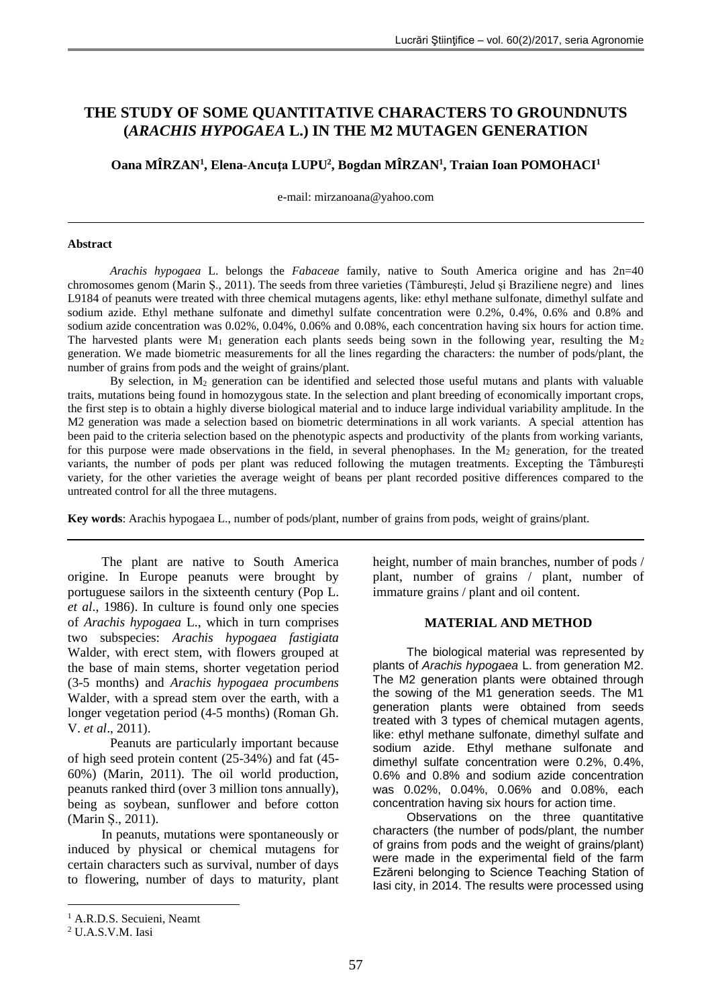# **THE STUDY OF SOME QUANTITATIVE CHARACTERS TO GROUNDNUTS (***ARACHIS HYPOGAEA* **L.) IN THE M2 MUTAGEN GENERATION**

**Oana MÎRZAN<sup>1</sup> , Elena-Ancuţa LUPU<sup>2</sup> , Bogdan MÎRZAN<sup>1</sup> , Traian Ioan POMOHACI<sup>1</sup>**

e-mail: [mirzanoana@yahoo.com](mailto:mirzanoana@yahoo.com)

#### **Abstract**

*Arachis hypogaea* L. belongs the *Fabaceae* family, native to South America origine and has 2n=40 chromosomes genom (Marin Ș., 2011). The seeds from three varieties (Tâmburești, Jelud și Braziliene negre) and lines L9184 of peanuts were treated with three chemical mutagens agents, like: ethyl methane sulfonate, dimethyl sulfate and sodium azide. Ethyl methane sulfonate and dimethyl sulfate concentration were 0.2%, 0.4%, 0.6% and 0.8% and sodium azide concentration was 0.02%, 0.04%, 0.06% and 0.08%, each concentration having six hours for action time. The harvested plants were  $M_1$  generation each plants seeds being sown in the following year, resulting the  $M_2$ generation. We made biometric measurements for all the lines regarding the characters: the number of pods/plant, the number of grains from pods and the weight of grains/plant.

By selection, in  $M_2$  generation can be identified and selected those useful mutans and plants with valuable traits, mutations being found in homozygous state. In the selection and plant breeding of economically important crops, the first step is to obtain a highly diverse biological material and to induce large individual variability amplitude. In the M2 generation was made a selection based on biometric determinations in all work variants. A special attention has been paid to the criteria selection based on the phenotypic aspects and productivity of the plants from working variants, for this purpose were made observations in the field, in several phenophases. In the  $M_2$  generation, for the treated variants, the number of pods per plant was reduced following the mutagen treatments. Excepting the Tâmburești variety, for the other varieties the average weight of beans per plant recorded positive differences compared to the untreated control for all the three mutagens.

**Key words**: Arachis hypogaea L., number of pods/plant, number of grains from pods, weight of grains/plant.

The plant are native to South America origine. In Europe peanuts were brought by portuguese sailors in the sixteenth century (Pop L. *et al*., 1986). In culture is found only one species of *Arachis hypogaea* L., which in turn comprises two subspecies: *Arachis hypogaea fastigiata* Walder, with erect stem, with flowers grouped at the base of main stems, shorter vegetation period (3-5 months) and *Arachis hypogaea procumbens* Walder, with a spread stem over the earth, with a longer vegetation period (4-5 months) (Roman Gh. V. *et al*., 2011).

Peanuts are particularly important because of high seed protein content (25-34%) and fat (45- 60%) (Marin, 2011). The oil world production, peanuts ranked third (over 3 million tons annually), being as soybean, sunflower and before cotton (Marin Ș., 2011).

In peanuts, mutations were spontaneously or induced by physical or chemical mutagens for certain characters such as survival, number of days to flowering, number of days to maturity, plant

<u>.</u>

height, number of main branches, number of pods / plant, number of grains / plant, number of immature grains / plant and oil content.

#### **MATERIAL AND METHOD**

The biological material was represented by plants of *Arachis hypogaea* L. from generation M2. The M2 generation plants were obtained through the sowing of the M1 generation seeds. The M1 generation plants were obtained from seeds treated with 3 types of chemical mutagen agents, like: ethyl methane sulfonate, dimethyl sulfate and sodium azide. Ethyl methane sulfonate and dimethyl sulfate concentration were 0.2%, 0.4%, 0.6% and 0.8% and sodium azide concentration was 0.02%, 0.04%, 0.06% and 0.08%, each concentration having six hours for action time.

Observations on the three quantitative characters (the number of pods/plant, the number of grains from pods and the weight of grains/plant) were made in the experimental field of the farm Ezăreni belonging to Science Teaching Station of Iasi city, in 2014. The results were processed using

<sup>&</sup>lt;sup>1</sup> A.R.D.S. Secuieni, Neamt

<sup>2</sup> U.A.S.V.M. Iasi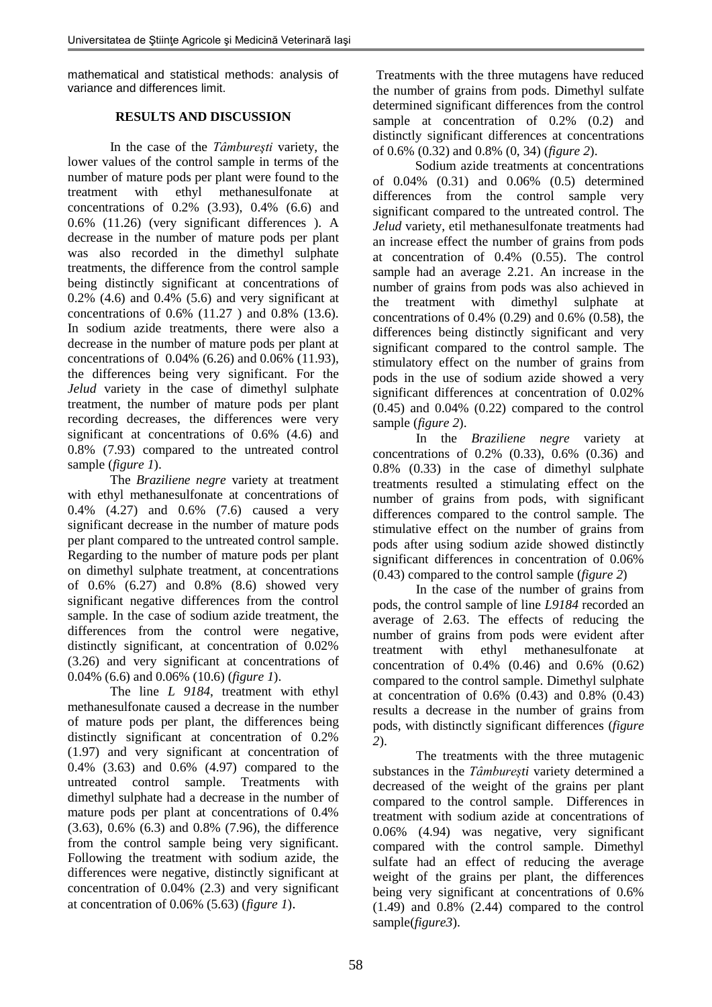mathematical and statistical methods: analysis of variance and differences limit.

## **RESULTS AND DISCUSSION**

In the case of the *Tâmbureşti* variety, the lower values of the control sample in terms of the number of mature pods per plant were found to the treatment with ethyl methanesulfonate at concentrations of 0.2% (3.93), 0.4% (6.6) and 0.6% (11.26) (very significant differences ). A decrease in the number of mature pods per plant was also recorded in the dimethyl sulphate treatments, the difference from the control sample being distinctly significant at concentrations of  $0.2\%$  (4.6) and  $0.4\%$  (5.6) and very significant at concentrations of 0.6% (11.27 ) and 0.8% (13.6). In sodium azide treatments, there were also a decrease in the number of mature pods per plant at concentrations of 0.04% (6.26) and 0.06% (11.93), the differences being very significant. For the *Jelud* variety in the case of dimethyl sulphate treatment, the number of mature pods per plant recording decreases, the differences were very significant at concentrations of 0.6% (4.6) and 0.8% (7.93) compared to the untreated control sample (*figure 1*).

The *Braziliene negre* variety at treatment with ethyl methanesulfonate at concentrations of 0.4% (4.27) and 0.6% (7.6) caused a very significant decrease in the number of mature pods per plant compared to the untreated control sample. Regarding to the number of mature pods per plant on dimethyl sulphate treatment, at concentrations of 0.6% (6.27) and 0.8% (8.6) showed very significant negative differences from the control sample. In the case of sodium azide treatment, the differences from the control were negative, distinctly significant, at concentration of 0.02% (3.26) and very significant at concentrations of 0.04% (6.6) and 0.06% (10.6) (*figure 1*).

The line *L 9184*, treatment with ethyl methanesulfonate caused a decrease in the number of mature pods per plant, the differences being distinctly significant at concentration of 0.2% (1.97) and very significant at concentration of 0.4% (3.63) and 0.6% (4.97) compared to the untreated control sample. Treatments with dimethyl sulphate had a decrease in the number of mature pods per plant at concentrations of 0.4% (3.63), 0.6% (6.3) and 0.8% (7.96), the difference from the control sample being very significant. Following the treatment with sodium azide, the differences were negative, distinctly significant at concentration of 0.04% (2.3) and very significant at concentration of 0.06% (5.63) (*figure 1*).

Treatments with the three mutagens have reduced the number of grains from pods. Dimethyl sulfate determined significant differences from the control sample at concentration of 0.2% (0.2) and distinctly significant differences at concentrations of 0.6% (0.32) and 0.8% (0, 34) (*figure 2*).

Sodium azide treatments at concentrations of 0.04% (0.31) and 0.06% (0.5) determined differences from the control sample very significant compared to the untreated control. The *Jelud* variety, etil methanesulfonate treatments had an increase effect the number of grains from pods at concentration of 0.4% (0.55). The control sample had an average 2.21. An increase in the number of grains from pods was also achieved in the treatment with dimethyl sulphate at concentrations of 0.4% (0.29) and 0.6% (0.58), the differences being distinctly significant and very significant compared to the control sample. The stimulatory effect on the number of grains from pods in the use of sodium azide showed a very significant differences at concentration of 0.02%  $(0.45)$  and  $0.04\%$   $(0.22)$  compared to the control sample (*figure 2*).

In the *Braziliene negre* variety at concentrations of 0.2% (0.33), 0.6% (0.36) and 0.8% (0.33) in the case of dimethyl sulphate treatments resulted a stimulating effect on the number of grains from pods, with significant differences compared to the control sample. The stimulative effect on the number of grains from pods after using sodium azide showed distinctly significant differences in concentration of 0.06% (0.43) compared to the control sample (*figure 2*)

In the case of the number of grains from pods, the control sample of line *L9184* recorded an average of 2.63. The effects of reducing the number of grains from pods were evident after treatment with ethyl methanesulfonate at concentration of 0.4% (0.46) and 0.6% (0.62) compared to the control sample. Dimethyl sulphate at concentration of 0.6% (0.43) and 0.8% (0.43) results a decrease in the number of grains from pods, with distinctly significant differences (*figure 2*).

The treatments with the three mutagenic substances in the *Tâmburești* variety determined a decreased of the weight of the grains per plant compared to the control sample. Differences in treatment with sodium azide at concentrations of 0.06% (4.94) was negative, very significant compared with the control sample. Dimethyl sulfate had an effect of reducing the average weight of the grains per plant, the differences being very significant at concentrations of 0.6% (1.49) and 0.8% (2.44) compared to the control sample(*figure3*).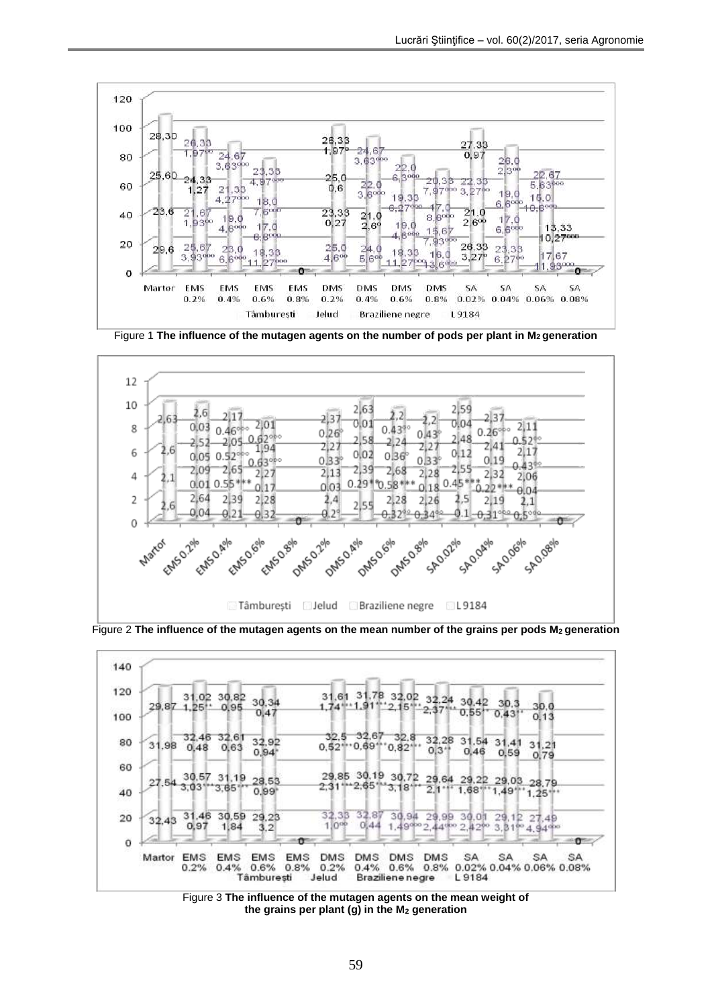

Figure 1 **The influence of the mutagen agents on the number of pods per plant in M2 generation**



Figure 2 **The influence of the mutagen agents on the mean number of the grains per pods M2 generation**



Figure 3 **The influence of the mutagen agents on the mean weight of the grains per plant (g) in the M<sup>2</sup> generation**